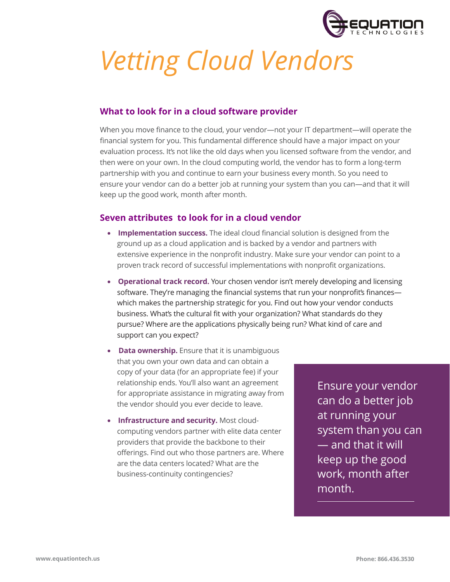

# *Vetting Cloud Vendors*

## **What to look for in a cloud software provider**

When you move finance to the cloud, your vendor—not your IT department—will operate the financial system for you. This fundamental difference should have a major impact on your evaluation process. It's not like the old days when you licensed software from the vendor, and then were on your own. In the cloud computing world, the vendor has to form a long-term partnership with you and continue to earn your business every month. So you need to ensure your vendor can do a better job at running your system than you can—and that it will keep up the good work, month after month.

## **Seven attributes to look for in a cloud vendor**

- **Implementation success.** The ideal cloud financial solution is designed from the ground up as a cloud application and is backed by a vendor and partners with extensive experience in the nonprofit industry. Make sure your vendor can point to a proven track record of successful implementations with nonprofit organizations.
- **Operational track record.** Your chosen vendor isn't merely developing and licensing software. They're managing the financial systems that run your nonprofit's finances which makes the partnership strategic for you. Find out how your vendor conducts business. What's the cultural fit with your organization? What standards do they pursue? Where are the applications physically being run? What kind of care and support can you expect?
- **Data ownership.** Ensure that it is unambiguous that you own your own data and can obtain a copy of your data (for an appropriate fee) if your relationship ends. You'll also want an agreement for appropriate assistance in migrating away from the vendor should you ever decide to leave.
- **Infrastructure and security.** Most cloudcomputing vendors partner with elite data center providers that provide the backbone to their offerings. Find out who those partners are. Where are the data centers located? What are the business-continuity contingencies?

Ensure your vendor can do a better job at running your system than you can — and that it will keep up the good work, month after month.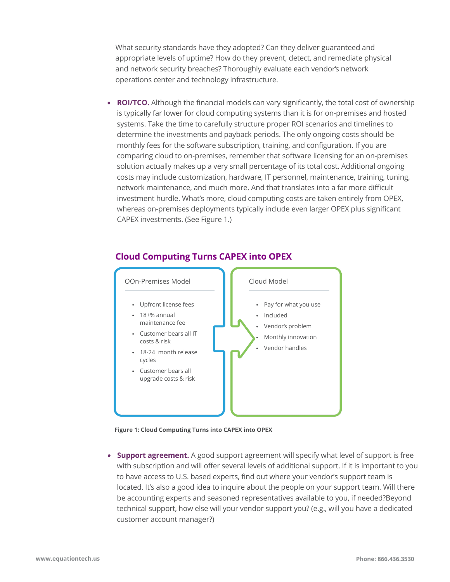What security standards have they adopted? Can they deliver guaranteed and appropriate levels of uptime? How do they prevent, detect, and remediate physical and network security breaches? Thoroughly evaluate each vendor's network operations center and technology infrastructure.

**ROI/TCO.** Although the financial models can vary significantly, the total cost of ownership is typically far lower for cloud computing systems than it is for on-premises and hosted systems. Take the time to carefully structure proper ROI scenarios and timelines to determine the investments and payback periods. The only ongoing costs should be monthly fees for the software subscription, training, and configuration. If you are comparing cloud to on-premises, remember that software licensing for an on-premises solution actually makes up a very small percentage of its total cost. Additional ongoing costs may include customization, hardware, IT personnel, maintenance, training, tuning, network maintenance, and much more. And that translates into a far more difficult investment hurdle. What's more, cloud computing costs are taken entirely from OPEX, whereas on-premises deployments typically include even larger OPEX plus significant CAPEX investments. (See Figure 1.)



## **Cloud Computing Turns CAPEX into OPEX**



• **Support agreement.** A good support agreement will specify what level of support is free with subscription and will offer several levels of additional support. If it is important to you to have access to U.S. based experts, find out where your vendor's support team is located. It's also a good idea to inquire about the people on your support team. Will there be accounting experts and seasoned representatives available to you, if needed?Beyond technical support, how else will your vendor support you? (e.g., will you have a dedicated customer account manager?)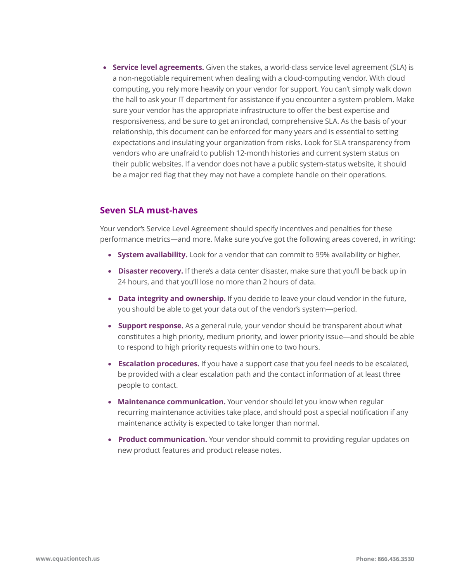• **Service level agreements.** Given the stakes, a world-class service level agreement (SLA) is a non-negotiable requirement when dealing with a cloud-computing vendor. With cloud computing, you rely more heavily on your vendor for support. You can't simply walk down the hall to ask your IT department for assistance if you encounter a system problem. Make sure your vendor has the appropriate infrastructure to offer the best expertise and responsiveness, and be sure to get an ironclad, comprehensive SLA. As the basis of your relationship, this document can be enforced for many years and is essential to setting expectations and insulating your organization from risks. Look for SLA transparency from vendors who are unafraid to publish 12-month histories and current system status on their public websites. lf a vendor does not have a public system-status website, it should be a major red flag that they may not have a complete handle on their operations.

#### **Seven SLA must-haves**

Your vendor's Service Level Agreement should specify incentives and penalties for these performance metrics—and more. Make sure you've got the following areas covered, in writing:

- **System availability.** Look for a vendor that can commit to 99% availability or higher.
- **Disaster recovery.** If there's a data center disaster, make sure that you'll be back up in 24 hours, and that you'll lose no more than 2 hours of data.
- **Data integrity and ownership.** If you decide to leave your cloud vendor in the future, you should be able to get your data out of the vendor's system—period.
- **Support response.** As a general rule, your vendor should be transparent about what constitutes a high priority, medium priority, and lower priority issue—and should be able to respond to high priority requests within one to two hours.
- **Escalation procedures.** If you have a support case that you feel needs to be escalated, be provided with a clear escalation path and the contact information of at least three people to contact.
- **Maintenance communication.** Your vendor should let you know when regular recurring maintenance activities take place, and should post a special notification if any maintenance activity is expected to take longer than normal.
- **Product communication.** Your vendor should commit to providing regular updates on new product features and product release notes.